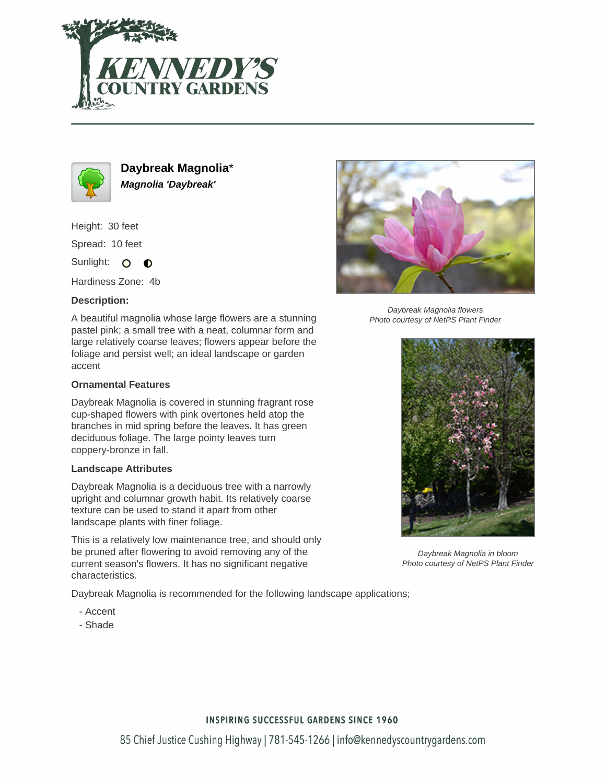



**Daybreak Magnolia**\* **Magnolia 'Daybreak'**

Height: 30 feet

Spread: 10 feet

Sunlight: O  $\bullet$ 

Hardiness Zone: 4b

## **Description:**

A beautiful magnolia whose large flowers are a stunning pastel pink; a small tree with a neat, columnar form and large relatively coarse leaves; flowers appear before the foliage and persist well; an ideal landscape or garden accent

## **Ornamental Features**

Daybreak Magnolia is covered in stunning fragrant rose cup-shaped flowers with pink overtones held atop the branches in mid spring before the leaves. It has green deciduous foliage. The large pointy leaves turn coppery-bronze in fall.

## **Landscape Attributes**

Daybreak Magnolia is a deciduous tree with a narrowly upright and columnar growth habit. Its relatively coarse texture can be used to stand it apart from other landscape plants with finer foliage.

This is a relatively low maintenance tree, and should only be pruned after flowering to avoid removing any of the current season's flowers. It has no significant negative characteristics.

Daybreak Magnolia is recommended for the following landscape applications;

- Accent
- Shade



Daybreak Magnolia flowers Photo courtesy of NetPS Plant Finder



Daybreak Magnolia in bloom Photo courtesy of NetPS Plant Finder

# **INSPIRING SUCCESSFUL GARDENS SINCE 1960**

85 Chief Justice Cushing Highway | 781-545-1266 | info@kennedyscountrygardens.com